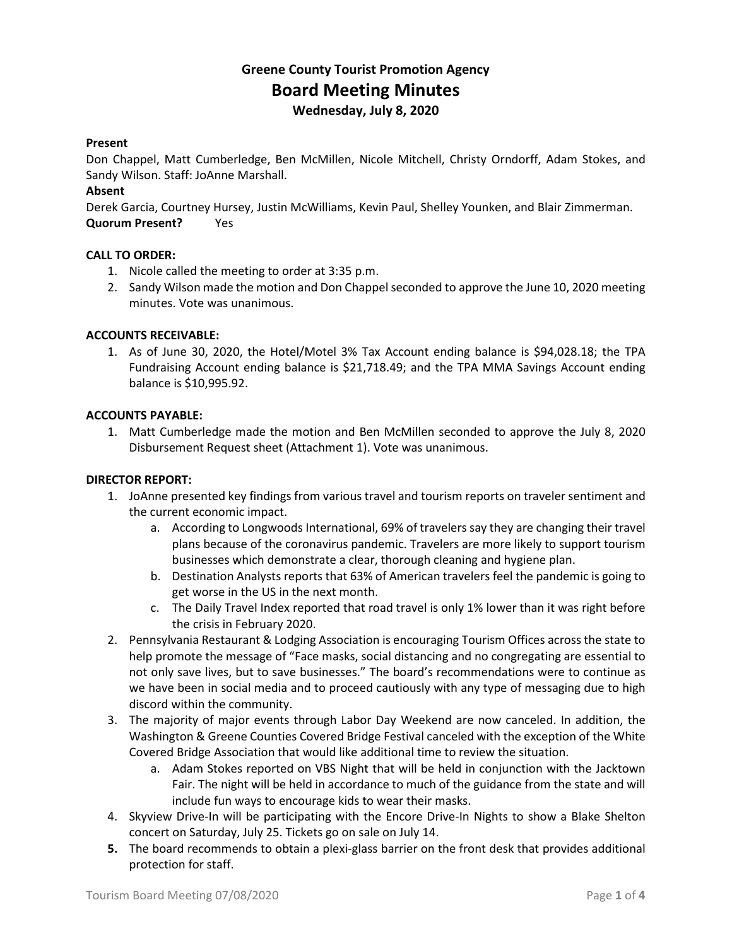# **Greene County Tourist Promotion Agency Board Meeting Minutes Wednesday, July 8, 2020**

# **Present**

Don Chappel, Matt Cumberledge, Ben McMillen, Nicole Mitchell, Christy Orndorff, Adam Stokes, and Sandy Wilson. Staff: JoAnne Marshall.

# **Absent**

Derek Garcia, Courtney Hursey, Justin McWilliams, Kevin Paul, Shelley Younken, and Blair Zimmerman. **Quorum Present?** Yes

# **CALL TO ORDER:**

- 1. Nicole called the meeting to order at 3:35 p.m.
- 2. Sandy Wilson made the motion and Don Chappel seconded to approve the June 10, 2020 meeting minutes. Vote was unanimous.

# **ACCOUNTS RECEIVABLE:**

1. As of June 30, 2020, the Hotel/Motel 3% Tax Account ending balance is \$94,028.18; the TPA Fundraising Account ending balance is \$21,718.49; and the TPA MMA Savings Account ending balance is \$10,995.92.

#### **ACCOUNTS PAYABLE:**

1. Matt Cumberledge made the motion and Ben McMillen seconded to approve the July 8, 2020 Disbursement Request sheet (Attachment 1). Vote was unanimous.

### **DIRECTOR REPORT:**

- 1. JoAnne presented key findings from various travel and tourism reports on traveler sentiment and the current economic impact.
	- a. According to Longwoods International, 69% of travelers say they are changing their travel plans because of the coronavirus pandemic. Travelers are more likely to support tourism businesses which demonstrate a clear, thorough cleaning and hygiene plan.
	- b. Destination Analysts reports that 63% of American travelers feel the pandemic is going to get worse in the US in the next month.
	- c. The Daily Travel Index reported that road travel is only 1% lower than it was right before the crisis in February 2020.
- 2. Pennsylvania Restaurant & Lodging Association is encouraging Tourism Offices across the state to help promote the message of "Face masks, social distancing and no congregating are essential to not only save lives, but to save businesses." The board's recommendations were to continue as we have been in social media and to proceed cautiously with any type of messaging due to high discord within the community.
- 3. The majority of major events through Labor Day Weekend are now canceled. In addition, the Washington & Greene Counties Covered Bridge Festival canceled with the exception of the White Covered Bridge Association that would like additional time to review the situation.
	- a. Adam Stokes reported on VBS Night that will be held in conjunction with the Jacktown Fair. The night will be held in accordance to much of the guidance from the state and will include fun ways to encourage kids to wear their masks.
- 4. Skyview Drive-In will be participating with the Encore Drive-In Nights to show a Blake Shelton concert on Saturday, July 25. Tickets go on sale on July 14.
- **5.** The board recommends to obtain a plexi-glass barrier on the front desk that provides additional protection for staff.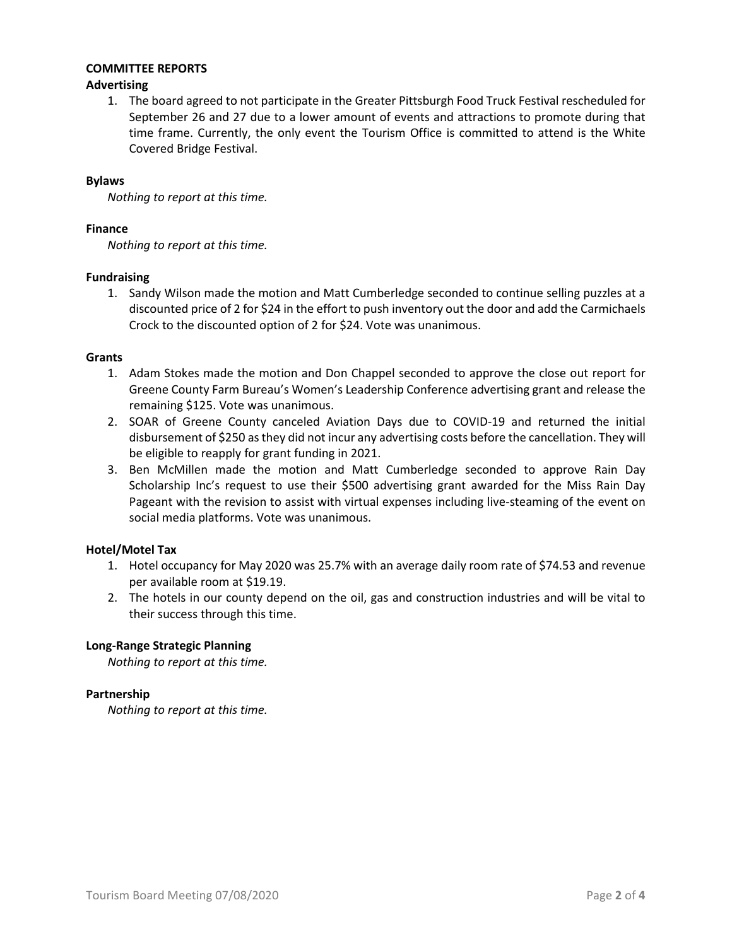# **COMMITTEE REPORTS**

# **Advertising**

1. The board agreed to not participate in the Greater Pittsburgh Food Truck Festival rescheduled for September 26 and 27 due to a lower amount of events and attractions to promote during that time frame. Currently, the only event the Tourism Office is committed to attend is the White Covered Bridge Festival.

# **Bylaws**

*Nothing to report at this time.*

# **Finance**

*Nothing to report at this time.*

# **Fundraising**

1. Sandy Wilson made the motion and Matt Cumberledge seconded to continue selling puzzles at a discounted price of 2 for \$24 in the effort to push inventory out the door and add the Carmichaels Crock to the discounted option of 2 for \$24. Vote was unanimous.

# **Grants**

- 1. Adam Stokes made the motion and Don Chappel seconded to approve the close out report for Greene County Farm Bureau's Women's Leadership Conference advertising grant and release the remaining \$125. Vote was unanimous.
- 2. SOAR of Greene County canceled Aviation Days due to COVID-19 and returned the initial disbursement of \$250 as they did not incur any advertising costs before the cancellation. They will be eligible to reapply for grant funding in 2021.
- 3. Ben McMillen made the motion and Matt Cumberledge seconded to approve Rain Day Scholarship Inc's request to use their \$500 advertising grant awarded for the Miss Rain Day Pageant with the revision to assist with virtual expenses including live-steaming of the event on social media platforms. Vote was unanimous.

# **Hotel/Motel Tax**

- 1. Hotel occupancy for May 2020 was 25.7% with an average daily room rate of \$74.53 and revenue per available room at \$19.19.
- 2. The hotels in our county depend on the oil, gas and construction industries and will be vital to their success through this time.

# **Long-Range Strategic Planning**

*Nothing to report at this time.*

#### **Partnership**

*Nothing to report at this time.*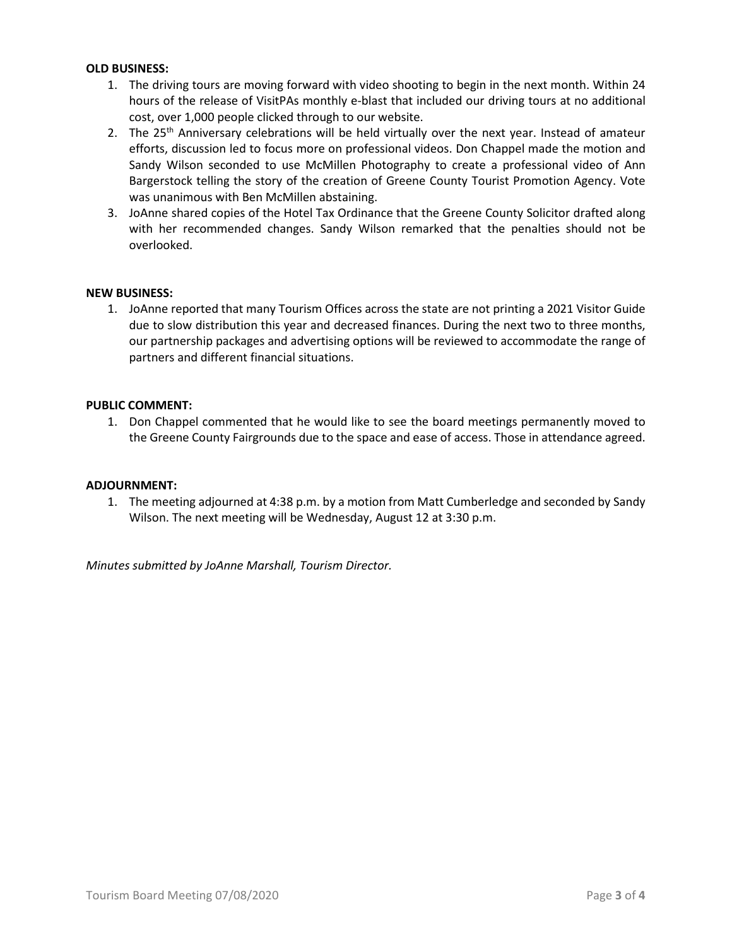# **OLD BUSINESS:**

- 1. The driving tours are moving forward with video shooting to begin in the next month. Within 24 hours of the release of VisitPAs monthly e-blast that included our driving tours at no additional cost, over 1,000 people clicked through to our website.
- 2. The 25<sup>th</sup> Anniversary celebrations will be held virtually over the next year. Instead of amateur efforts, discussion led to focus more on professional videos. Don Chappel made the motion and Sandy Wilson seconded to use McMillen Photography to create a professional video of Ann Bargerstock telling the story of the creation of Greene County Tourist Promotion Agency. Vote was unanimous with Ben McMillen abstaining.
- 3. JoAnne shared copies of the Hotel Tax Ordinance that the Greene County Solicitor drafted along with her recommended changes. Sandy Wilson remarked that the penalties should not be overlooked.

#### **NEW BUSINESS:**

1. JoAnne reported that many Tourism Offices across the state are not printing a 2021 Visitor Guide due to slow distribution this year and decreased finances. During the next two to three months, our partnership packages and advertising options will be reviewed to accommodate the range of partners and different financial situations.

# **PUBLIC COMMENT:**

1. Don Chappel commented that he would like to see the board meetings permanently moved to the Greene County Fairgrounds due to the space and ease of access. Those in attendance agreed.

#### **ADJOURNMENT:**

1. The meeting adjourned at 4:38 p.m. by a motion from Matt Cumberledge and seconded by Sandy Wilson. The next meeting will be Wednesday, August 12 at 3:30 p.m.

*Minutes submitted by JoAnne Marshall, Tourism Director.*